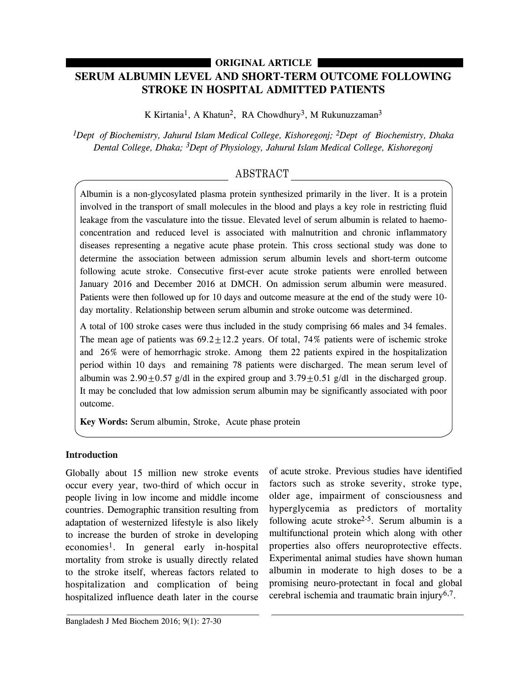# **SERUM ALBUMIN LEVEL AND SHORT-TERM OUTCOME FOLLOWING STROKE IN HOSPITAL ADMITTED PATIENTS ORIGINAL ARTICLE**

K Kirtania<sup>1</sup>, A Khatun<sup>2</sup>, RA Chowdhury<sup>3</sup>, M Rukunuzzaman<sup>3</sup>

*1Dept of Biochemistry, Jahurul Islam Medical College, Kishoregonj; 2Dept of Biochemistry, Dhaka Dental College, Dhaka; 3Dept of Physiology, Jahurul Islam Medical College, Kishoregonj*

# ABSTRACT

Albumin is a non-glycosylated plasma protein synthesized primarily in the liver. It is a protein involved in the transport of small molecules in the blood and plays a key role in restricting fluid leakage from the vasculature into the tissue. Elevated level of serum albumin is related to haemoconcentration and reduced level is associated with malnutrition and chronic inflammatory diseases representing a negative acute phase protein. This cross sectional study was done to determine the association between admission serum albumin levels and short-term outcome following acute stroke. Consecutive first-ever acute stroke patients were enrolled between January 2016 and December 2016 at DMCH. On admission serum albumin were measured. Patients were then followed up for 10 days and outcome measure at the end of the study were 10 day mortality. Relationship between serum albumin and stroke outcome was determined.

A total of 100 stroke cases were thus included in the study comprising 66 males and 34 females. The mean age of patients was  $69.2 \pm 12.2$  years. Of total, 74% patients were of ischemic stroke and 26% were of hemorrhagic stroke. Among them 22 patients expired in the hospitalization period within 10 days and remaining 78 patients were discharged. The mean serum level of albumin was  $2.90 \pm 0.57$  g/dl in the expired group and  $3.79 \pm 0.51$  g/dl in the discharged group. It may be concluded that low admission serum albumin may be significantly associated with poor outcome.

**Key Words:** Serum albumin, Stroke, Acute phase protein

## **Introduction**

Globally about 15 million new stroke events occur every year, two-third of which occur in people living in low income and middle income countries. Demographic transition resulting from adaptation of westernized lifestyle is also likely to increase the burden of stroke in developing economies1. In general early in-hospital mortality from stroke is usually directly related to the stroke itself, whereas factors related to hospitalization and complication of being hospitalized influence death later in the course

of acute stroke. Previous studies have identified factors such as stroke severity, stroke type, older age, impairment of consciousness and hyperglycemia as predictors of mortality following acute stroke<sup>2-5</sup>. Serum albumin is a multifunctional protein which along with other properties also offers neuroprotective effects. Experimental animal studies have shown human albumin in moderate to high doses to be a promising neuro-protectant in focal and global cerebral ischemia and traumatic brain injury<sup>6,7</sup>.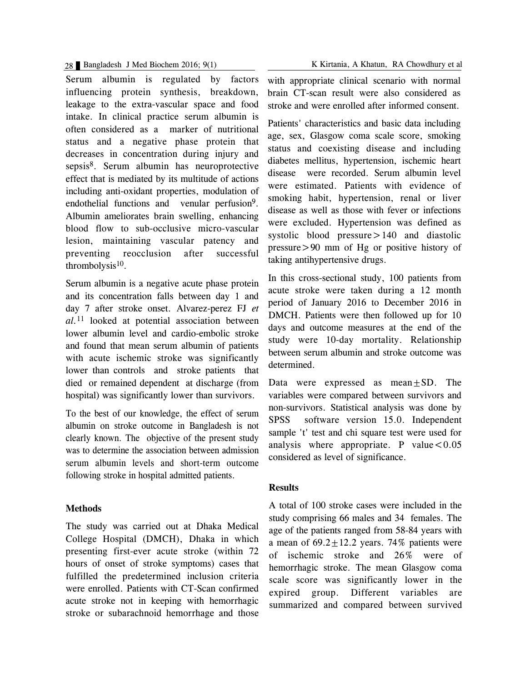Serum albumin is regulated by factors influencing protein synthesis, breakdown, leakage to the extra-vascular space and food intake. In clinical practice serum albumin is often considered as a marker of nutritional status and a negative phase protein that decreases in concentration during injury and sepsis8. Serum albumin has neuroprotective effect that is mediated by its multitude of actions including anti-oxidant properties, modulation of endothelial functions and venular perfusion<sup>9</sup>. Albumin ameliorates brain swelling, enhancing blood flow to sub-occlusive micro-vascular lesion, maintaining vascular patency and preventing reocclusion after successful thrombolysis $10$ .

Serum albumin is a negative acute phase protein and its concentration falls between day 1 and day 7 after stroke onset. Alvarez-perez FJ *et al.*<sup>11</sup> looked at potential association between lower albumin level and cardio-embolic stroke and found that mean serum albumin of patients with acute ischemic stroke was significantly lower than controls and stroke patients that died or remained dependent at discharge (from hospital) was significantly lower than survivors.

To the best of our knowledge, the effect of serum albumin on stroke outcome in Bangladesh is not clearly known. The objective of the present study was to determine the association between admission serum albumin levels and short-term outcome following stroke in hospital admitted patients.

#### **Methods**

The study was carried out at Dhaka Medical College Hospital (DMCH), Dhaka in which presenting first-ever acute stroke (within 72 hours of onset of stroke symptoms) cases that fulfilled the predetermined inclusion criteria were enrolled. Patients with CT-Scan confirmed acute stroke not in keeping with hemorrhagic stroke or subarachnoid hemorrhage and those

28 Bangladesh J Med Biochem 2016; 9(1) K Kirtania, A Khatun, RA Chowdhury et al

with appropriate clinical scenario with normal brain CT-scan result were also considered as stroke and were enrolled after informed consent.

Patients' characteristics and basic data including age, sex, Glasgow coma scale score, smoking status and coexisting disease and including diabetes mellitus, hypertension, ischemic heart disease were recorded. Serum albumin level were estimated. Patients with evidence of smoking habit, hypertension, renal or liver disease as well as those with fever or infections were excluded. Hypertension was defined as systolic blood pressure > 140 and diastolic pressure>90 mm of Hg or positive history of taking antihypertensive drugs.

In this cross-sectional study, 100 patients from acute stroke were taken during a 12 month period of January 2016 to December 2016 in DMCH. Patients were then followed up for 10 days and outcome measures at the end of the study were 10-day mortality. Relationship between serum albumin and stroke outcome was determined.

Data were expressed as mean±SD. The variables were compared between survivors and non-survivors. Statistical analysis was done by SPSS software version 15.0. Independent sample 't' test and chi square test were used for analysis where appropriate. P value  $< 0.05$ considered as level of significance.

### **Results**

A total of 100 stroke cases were included in the study comprising 66 males and 34 females. The age of the patients ranged from 58-84 years with a mean of  $69.2 \pm 12.2$  years. 74% patients were of ischemic stroke and 26% were of hemorrhagic stroke. The mean Glasgow coma scale score was significantly lower in the expired group. Different variables are summarized and compared between survived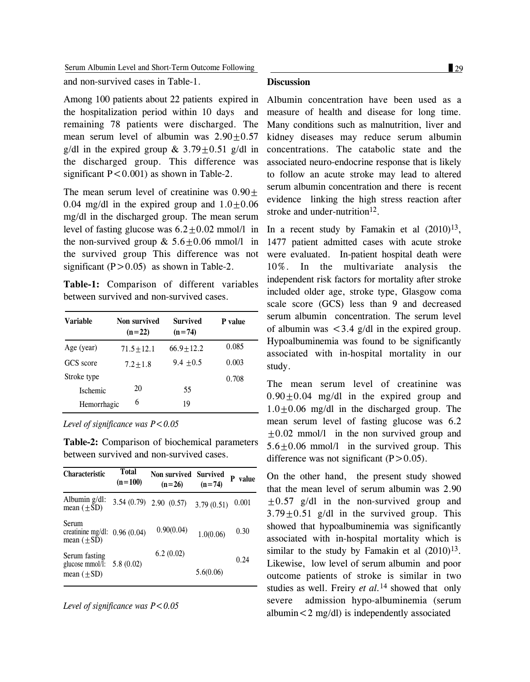Serum Albumin Level and Short-Term Outcome Following 29

and non-survived cases in Table-1.

Among 100 patients about 22 patients expired in the hospitalization period within 10 days and remaining 78 patients were discharged. The mean serum level of albumin was  $2.90 \pm 0.57$ g/dl in the expired group &  $3.79+0.51$  g/dl in the discharged group. This difference was significant  $P < 0.001$  as shown in Table-2.

The mean serum level of creatinine was  $0.90 \pm$ 0.04 mg/dl in the expired group and  $1.0 \pm 0.06$ mg/dl in the discharged group. The mean serum level of fasting glucose was  $6.2 \pm 0.02$  mmol/l in the non-survived group  $& 5.6 \pm 0.06$  mmol/l in the survived group This difference was not significant  $(P>0.05)$  as shown in Table-2.

**Table-1:** Comparison of different variables between survived and non-survived cases.

| Variable        | Non survived<br>$(n=22)$ | <b>Survived</b><br>$(n=74)$ | P value |
|-----------------|--------------------------|-----------------------------|---------|
| Age (year)      | $71.5 + 12.1$            | $66.9 + 12.2$               | 0.085   |
| GCS score       | $7.2 + 1.8$              | $9.4 + 0.5$                 | 0.003   |
| Stroke type     |                          |                             | 0.708   |
| <b>Ischemic</b> | 20                       | 55                          |         |
| Hemorrhagic     | 6                        | 19                          |         |

*Level of significance was P<0.05*

**Table-2:** Comparison of biochemical parameters between survived and non-survived cases.

| <b>Characteristic</b>                                   | <b>Total</b><br>$(n=100)$ | Non survived Survived<br>$(n=26)$ | $(n=74)$   | value<br>P |
|---------------------------------------------------------|---------------------------|-----------------------------------|------------|------------|
| Albumin $g/dl$ :<br>mean $(\pm SD)$                     |                           | $3.54(0.79)$ $2.90(0.57)$         | 3.79(0.51) | 0.001      |
| Serum<br>creatinine mg/dl: $0.96(0.04)$<br>mean $(+SD)$ |                           | 0.90(0.04)                        | 1.0(0.06)  | 0.30       |
| Serum fasting<br>glucose mmol/l:<br>mean $(\pm SD)$     | 5.8(0.02)                 | 6.2(0.02)                         | 5.6(0.06)  | 0.24       |

*Level of significance was P<0.05*

#### **Discussion**

Albumin concentration have been used as a measure of health and disease for long time. Many conditions such as malnutrition, liver and kidney diseases may reduce serum albumin concentrations. The catabolic state and the associated neuro-endocrine response that is likely to follow an acute stroke may lead to altered serum albumin concentration and there is recent evidence linking the high stress reaction after stroke and under-nutrition<sup>12</sup>.

In a recent study by Famakin et al  $(2010)^{13}$ , 1477 patient admitted cases with acute stroke were evaluated. In-patient hospital death were 10%. In the multivariate analysis the independent risk factors for mortality after stroke included older age, stroke type, Glasgow coma scale score (GCS) less than 9 and decreased serum albumin concentration. The serum level of albumin was  $\langle 3.4 \text{ g/d} \rangle$  in the expired group. Hypoalbuminemia was found to be significantly associated with in-hospital mortality in our study.

The mean serum level of creatinine was  $0.90+0.04$  mg/dl in the expired group and  $1.0+0.06$  mg/dl in the discharged group. The mean serum level of fasting glucose was 6.2 ±0.02 mmol/l in the non survived group and 5.6±0.06 mmol/l in the survived group. This difference was not significant  $(P>0.05)$ .

On the other hand, the present study showed that the mean level of serum albumin was 2.90  $\pm 0.57$  g/dl in the non-survived group and  $3.79 \pm 0.51$  g/dl in the survived group. This showed that hypoalbuminemia was significantly associated with in-hospital mortality which is similar to the study by Famakin et al  $(2010)^{13}$ . Likewise, low level of serum albumin and poor outcome patients of stroke is similar in two studies as well. Freiry *et al.*<sup>14</sup> showed that only severe admission hypo-albuminemia (serum albumin<2 mg/dl) is independently associated